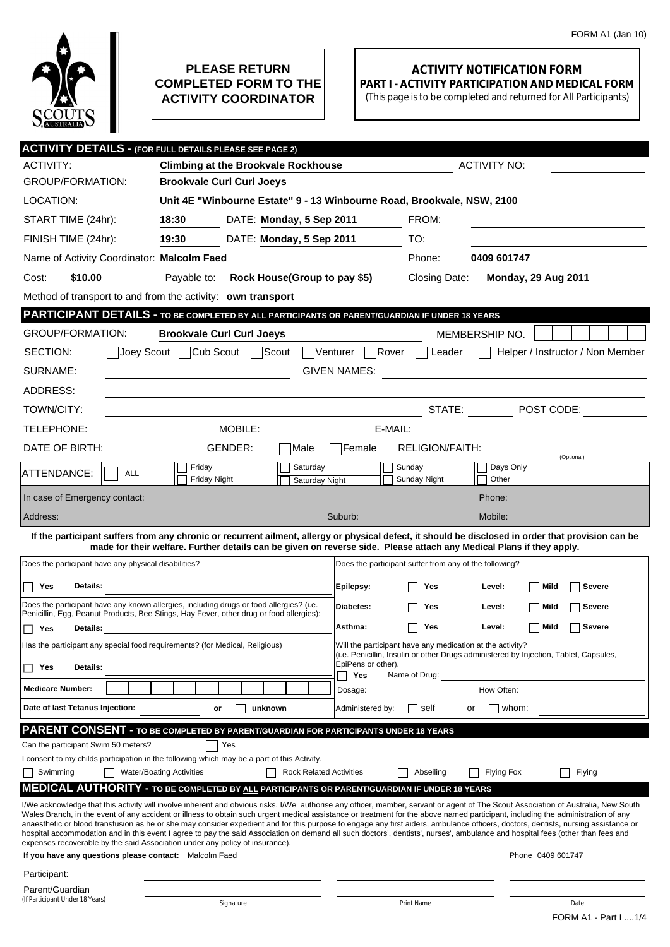

## **PLEASE RETURN COMPLETED FORM TO THE ACTIVITY COORDINATOR**

## **ACTIVITY NOTIFICATION FORM PART I - ACTIVITY PARTICIPATION AND MEDICAL FORM**

(This page is to be completed and returned for All Participants)

|                                                                                                                                                                                                                                                                             | <b>ACTIVITY DETAILS - (FOR FULL DETAILS PLEASE SEE PAGE 2)</b>                                                                                                                                                                                                                                                                                                                                                                                                                                                                                                                                                                                                                                                                                                                                                                 |                                                        |                                                       |  |  |
|-----------------------------------------------------------------------------------------------------------------------------------------------------------------------------------------------------------------------------------------------------------------------------|--------------------------------------------------------------------------------------------------------------------------------------------------------------------------------------------------------------------------------------------------------------------------------------------------------------------------------------------------------------------------------------------------------------------------------------------------------------------------------------------------------------------------------------------------------------------------------------------------------------------------------------------------------------------------------------------------------------------------------------------------------------------------------------------------------------------------------|--------------------------------------------------------|-------------------------------------------------------|--|--|
| ACTIVITY:                                                                                                                                                                                                                                                                   | <b>ACTIVITY NO:</b><br><b>Climbing at the Brookvale Rockhouse</b>                                                                                                                                                                                                                                                                                                                                                                                                                                                                                                                                                                                                                                                                                                                                                              |                                                        |                                                       |  |  |
| <b>GROUP/FORMATION:</b>                                                                                                                                                                                                                                                     | <b>Brookvale Curl Curl Joeys</b>                                                                                                                                                                                                                                                                                                                                                                                                                                                                                                                                                                                                                                                                                                                                                                                               |                                                        |                                                       |  |  |
| LOCATION:                                                                                                                                                                                                                                                                   | Unit 4E "Winbourne Estate" 9 - 13 Winbourne Road, Brookvale, NSW, 2100                                                                                                                                                                                                                                                                                                                                                                                                                                                                                                                                                                                                                                                                                                                                                         |                                                        |                                                       |  |  |
| START TIME (24hr):                                                                                                                                                                                                                                                          | 18:30<br>DATE: Monday, 5 Sep 2011                                                                                                                                                                                                                                                                                                                                                                                                                                                                                                                                                                                                                                                                                                                                                                                              | FROM:                                                  |                                                       |  |  |
| FINISH TIME (24hr):                                                                                                                                                                                                                                                         | 19:30<br>DATE: Monday, 5 Sep 2011                                                                                                                                                                                                                                                                                                                                                                                                                                                                                                                                                                                                                                                                                                                                                                                              | TO:                                                    |                                                       |  |  |
| Name of Activity Coordinator: Malcolm Faed                                                                                                                                                                                                                                  |                                                                                                                                                                                                                                                                                                                                                                                                                                                                                                                                                                                                                                                                                                                                                                                                                                | Phone:                                                 | 0409 601747                                           |  |  |
| \$10.00<br>Cost:                                                                                                                                                                                                                                                            | Rock House(Group to pay \$5)<br>Payable to:                                                                                                                                                                                                                                                                                                                                                                                                                                                                                                                                                                                                                                                                                                                                                                                    | Closing Date:                                          | <b>Monday, 29 Aug 2011</b>                            |  |  |
| Method of transport to and from the activity: own transport                                                                                                                                                                                                                 |                                                                                                                                                                                                                                                                                                                                                                                                                                                                                                                                                                                                                                                                                                                                                                                                                                |                                                        |                                                       |  |  |
| PARTICIPANT DETAILS - TO BE COMPLETED BY ALL PARTICIPANTS OR PARENT/GUARDIAN IF UNDER 18 YEARS                                                                                                                                                                              |                                                                                                                                                                                                                                                                                                                                                                                                                                                                                                                                                                                                                                                                                                                                                                                                                                |                                                        |                                                       |  |  |
| <b>GROUP/FORMATION:</b>                                                                                                                                                                                                                                                     | <b>Brookvale Curl Curl Joeys</b>                                                                                                                                                                                                                                                                                                                                                                                                                                                                                                                                                                                                                                                                                                                                                                                               | MEMBERSHIP NO.                                         |                                                       |  |  |
| Joey Scout   Cub Scout<br>Scout<br>Venturer Rover<br>SECTION:<br>Helper / Instructor / Non Member<br>Leader                                                                                                                                                                 |                                                                                                                                                                                                                                                                                                                                                                                                                                                                                                                                                                                                                                                                                                                                                                                                                                |                                                        |                                                       |  |  |
| SURNAME:<br><b>GIVEN NAMES:</b><br><u> 1989 - Johann Stein, mars an deutscher Stein († 1958)</u>                                                                                                                                                                            |                                                                                                                                                                                                                                                                                                                                                                                                                                                                                                                                                                                                                                                                                                                                                                                                                                |                                                        |                                                       |  |  |
| ADDRESS:                                                                                                                                                                                                                                                                    |                                                                                                                                                                                                                                                                                                                                                                                                                                                                                                                                                                                                                                                                                                                                                                                                                                |                                                        |                                                       |  |  |
| TOWN/CITY:                                                                                                                                                                                                                                                                  |                                                                                                                                                                                                                                                                                                                                                                                                                                                                                                                                                                                                                                                                                                                                                                                                                                |                                                        | STATE: $\Box$ POST CODE:                              |  |  |
| TELEPHONE:                                                                                                                                                                                                                                                                  | MOBILE:                                                                                                                                                                                                                                                                                                                                                                                                                                                                                                                                                                                                                                                                                                                                                                                                                        | E-MAIL:                                                | <u> 1980 - Jan Stein Berlin, Amerikaansk kanton (</u> |  |  |
| DATE OF BIRTH:                                                                                                                                                                                                                                                              | GENDER:<br>Male                                                                                                                                                                                                                                                                                                                                                                                                                                                                                                                                                                                                                                                                                                                                                                                                                | Female<br><b>RELIGION/FAITH:</b>                       |                                                       |  |  |
| ATTENDANCE:<br><b>ALL</b>                                                                                                                                                                                                                                                   | Saturday<br>Friday                                                                                                                                                                                                                                                                                                                                                                                                                                                                                                                                                                                                                                                                                                                                                                                                             | Sunday                                                 | (Optional)<br>Days Only                               |  |  |
|                                                                                                                                                                                                                                                                             | <b>Friday Night</b><br>Saturday Night                                                                                                                                                                                                                                                                                                                                                                                                                                                                                                                                                                                                                                                                                                                                                                                          | Sunday Night                                           | Other                                                 |  |  |
| In case of Emergency contact:                                                                                                                                                                                                                                               |                                                                                                                                                                                                                                                                                                                                                                                                                                                                                                                                                                                                                                                                                                                                                                                                                                |                                                        | Phone:                                                |  |  |
| Address:                                                                                                                                                                                                                                                                    |                                                                                                                                                                                                                                                                                                                                                                                                                                                                                                                                                                                                                                                                                                                                                                                                                                | Suburb:                                                | Mobile:                                               |  |  |
| If the participant suffers from any chronic or recurrent ailment, allergy or physical defect, it should be disclosed in order that provision can be<br>made for their welfare. Further details can be given on reverse side. Please attach any Medical Plans if they apply. |                                                                                                                                                                                                                                                                                                                                                                                                                                                                                                                                                                                                                                                                                                                                                                                                                                |                                                        |                                                       |  |  |
| Does the participant have any physical disabilities?                                                                                                                                                                                                                        |                                                                                                                                                                                                                                                                                                                                                                                                                                                                                                                                                                                                                                                                                                                                                                                                                                | Does the participant suffer from any of the following? |                                                       |  |  |
| Yes<br>Details:                                                                                                                                                                                                                                                             |                                                                                                                                                                                                                                                                                                                                                                                                                                                                                                                                                                                                                                                                                                                                                                                                                                | Epilepsy:<br>Yes                                       | Level:<br>Mild<br><b>Severe</b>                       |  |  |
|                                                                                                                                                                                                                                                                             | Does the participant have any known allergies, including drugs or food allergies? (i.e.                                                                                                                                                                                                                                                                                                                                                                                                                                                                                                                                                                                                                                                                                                                                        |                                                        |                                                       |  |  |
|                                                                                                                                                                                                                                                                             | Penicillin, Egg, Peanut Products, Bee Stings, Hay Fever, other drug or food allergies):                                                                                                                                                                                                                                                                                                                                                                                                                                                                                                                                                                                                                                                                                                                                        | Diabetes:<br>Yes                                       | Level:<br>Mild<br>Severe                              |  |  |
| Π Yes<br>Details:                                                                                                                                                                                                                                                           |                                                                                                                                                                                                                                                                                                                                                                                                                                                                                                                                                                                                                                                                                                                                                                                                                                | Asthma:<br>Yes                                         | Mild<br><b>Severe</b><br>Level:                       |  |  |
|                                                                                                                                                                                                                                                                             | Has the participant any special food requirements? (for Medical, Religious)<br>Will the participant have any medication at the activity?<br>(i.e. Penicillin, Insulin or other Drugs administered by Injection, Tablet, Capsules,                                                                                                                                                                                                                                                                                                                                                                                                                                                                                                                                                                                              |                                                        |                                                       |  |  |
| Details:<br>Yes                                                                                                                                                                                                                                                             |                                                                                                                                                                                                                                                                                                                                                                                                                                                                                                                                                                                                                                                                                                                                                                                                                                | EpiPens or other).<br>Yes<br>Name of Drug:             |                                                       |  |  |
| <b>Medicare Number:</b>                                                                                                                                                                                                                                                     |                                                                                                                                                                                                                                                                                                                                                                                                                                                                                                                                                                                                                                                                                                                                                                                                                                | Dosage:                                                | How Often:                                            |  |  |
| Date of last Tetanus Injection:                                                                                                                                                                                                                                             | unknown<br>or                                                                                                                                                                                                                                                                                                                                                                                                                                                                                                                                                                                                                                                                                                                                                                                                                  | self<br>Administered by:<br>or                         | whom:                                                 |  |  |
|                                                                                                                                                                                                                                                                             | <b>PARENT CONSENT - TO BE COMPLETED BY PARENT/GUARDIAN FOR PARTICIPANTS UNDER 18 YEARS</b>                                                                                                                                                                                                                                                                                                                                                                                                                                                                                                                                                                                                                                                                                                                                     |                                                        |                                                       |  |  |
| Can the participant Swim 50 meters?                                                                                                                                                                                                                                         | Yes                                                                                                                                                                                                                                                                                                                                                                                                                                                                                                                                                                                                                                                                                                                                                                                                                            |                                                        |                                                       |  |  |
| Swimming                                                                                                                                                                                                                                                                    | I consent to my childs participation in the following which may be a part of this Activity.<br><b>Water/Boating Activities</b><br><b>Rock Related Activities</b>                                                                                                                                                                                                                                                                                                                                                                                                                                                                                                                                                                                                                                                               | Abseiling                                              | Flying<br><b>Flying Fox</b>                           |  |  |
|                                                                                                                                                                                                                                                                             | <b>MEDICAL AUTHORITY - TO BE COMPLETED BY ALL PARTICIPANTS OR PARENT/GUARDIAN IF UNDER 18 YEARS</b>                                                                                                                                                                                                                                                                                                                                                                                                                                                                                                                                                                                                                                                                                                                            |                                                        |                                                       |  |  |
|                                                                                                                                                                                                                                                                             | I/We acknowledge that this activity will involve inherent and obvious risks. I/We authorise any officer, member, servant or agent of The Scout Association of Australia, New South<br>Wales Branch, in the event of any accident or illness to obtain such urgent medical assistance or treatment for the above named participant, including the administration of any<br>anaesthetic or blood transfusion as he or she may consider expedient and for this purpose to engage any first aiders, ambulance officers, doctors, dentists, nursing assistance or<br>hospital accommodation and in this event I agree to pay the said Association on demand all such doctors', dentists', nurses', ambulance and hospital fees (other than fees and<br>expenses recoverable by the said Association under any policy of insurance). |                                                        |                                                       |  |  |
| If you have any questions please contact: Malcolm Faed                                                                                                                                                                                                                      |                                                                                                                                                                                                                                                                                                                                                                                                                                                                                                                                                                                                                                                                                                                                                                                                                                |                                                        | Phone 0409 601747                                     |  |  |
| Participant:                                                                                                                                                                                                                                                                |                                                                                                                                                                                                                                                                                                                                                                                                                                                                                                                                                                                                                                                                                                                                                                                                                                |                                                        |                                                       |  |  |
| Parent/Guardian<br>(If Participant Under 18 Years)                                                                                                                                                                                                                          |                                                                                                                                                                                                                                                                                                                                                                                                                                                                                                                                                                                                                                                                                                                                                                                                                                |                                                        |                                                       |  |  |
|                                                                                                                                                                                                                                                                             | Signature                                                                                                                                                                                                                                                                                                                                                                                                                                                                                                                                                                                                                                                                                                                                                                                                                      | Print Name                                             | Date<br>FORM A1 - Part I  1/4                         |  |  |